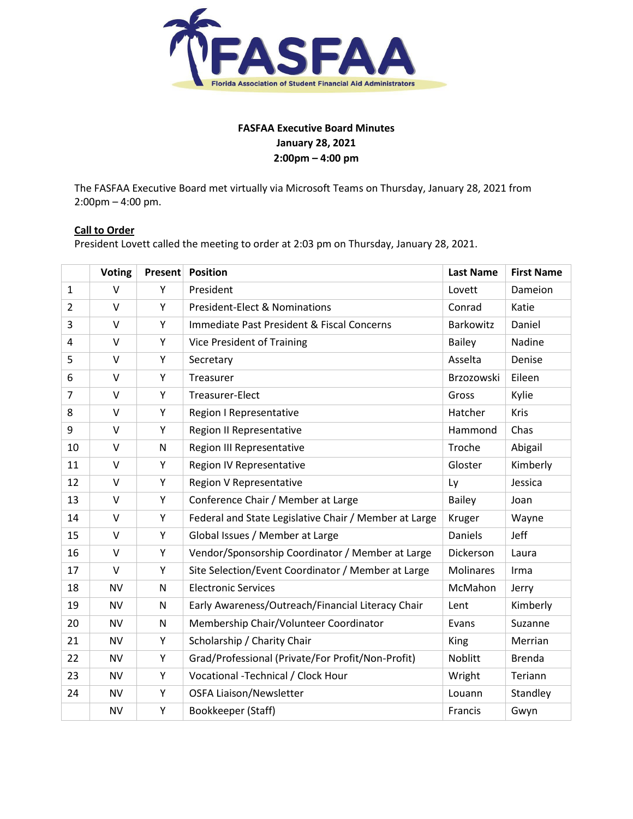

# **FASFAA Executive Board Minutes January 28, 2021 2:00pm – 4:00 pm**

The FASFAA Executive Board met virtually via Microsoft Teams on Thursday, January 28, 2021 from 2:00pm – 4:00 pm.

# **Call to Order**

President Lovett called the meeting to order at 2:03 pm on Thursday, January 28, 2021.

|                | Voting    | Present | <b>Position</b>                                       | <b>Last Name</b> | <b>First Name</b> |
|----------------|-----------|---------|-------------------------------------------------------|------------------|-------------------|
| 1              | $\vee$    | Y       | President                                             | Lovett           | Dameion           |
| $\overline{2}$ | V         | Y       | <b>President-Elect &amp; Nominations</b>              | Conrad           | Katie             |
| 3              | $\vee$    | Y       | Immediate Past President & Fiscal Concerns            | Barkowitz        | Daniel            |
| 4              | $\vee$    | Υ       | <b>Vice President of Training</b>                     | <b>Bailey</b>    | Nadine            |
| 5              | $\vee$    | Υ       | Secretary                                             | Asselta          | Denise            |
| 6              | $\vee$    | Y       | Treasurer                                             | Brzozowski       | Eileen            |
| $\overline{7}$ | $\vee$    | Υ       | Treasurer-Elect                                       | Gross            | Kylie             |
| 8              | $\vee$    | Υ       | Region I Representative                               | Hatcher          | Kris              |
| 9              | $\vee$    | Y       | <b>Region II Representative</b>                       | Hammond          | Chas              |
| 10             | V         | N       | Region III Representative                             | Troche           | Abigail           |
| 11             | $\vee$    | Y       | Region IV Representative                              | Gloster          | Kimberly          |
| 12             | $\vee$    | Υ       | Region V Representative                               | Ly               | Jessica           |
| 13             | $\vee$    | Υ       | Conference Chair / Member at Large                    | <b>Bailey</b>    | Joan              |
| 14             | $\vee$    | Y       | Federal and State Legislative Chair / Member at Large | Kruger           | Wayne             |
| 15             | $\vee$    | Υ       | Global Issues / Member at Large                       | Daniels          | Jeff              |
| 16             | $\vee$    | Y       | Vendor/Sponsorship Coordinator / Member at Large      | Dickerson        | Laura             |
| 17             | $\vee$    | Υ       | Site Selection/Event Coordinator / Member at Large    | <b>Molinares</b> | Irma              |
| 18             | <b>NV</b> | N       | <b>Electronic Services</b>                            | McMahon          | Jerry             |
| 19             | <b>NV</b> | N       | Early Awareness/Outreach/Financial Literacy Chair     | Lent             | Kimberly          |
| 20             | <b>NV</b> | N       | Membership Chair/Volunteer Coordinator                | Evans            | Suzanne           |
| 21             | <b>NV</b> | Υ       | Scholarship / Charity Chair                           | King             | Merrian           |
| 22             | <b>NV</b> | Υ       | Grad/Professional (Private/For Profit/Non-Profit)     | Noblitt          | <b>Brenda</b>     |
| 23             | <b>NV</b> | Υ       | Vocational -Technical / Clock Hour                    | Wright           | Teriann           |
| 24             | <b>NV</b> | Υ       | <b>OSFA Liaison/Newsletter</b>                        | Louann           | Standley          |
|                | <b>NV</b> | Υ       | Bookkeeper (Staff)                                    | Francis          | Gwyn              |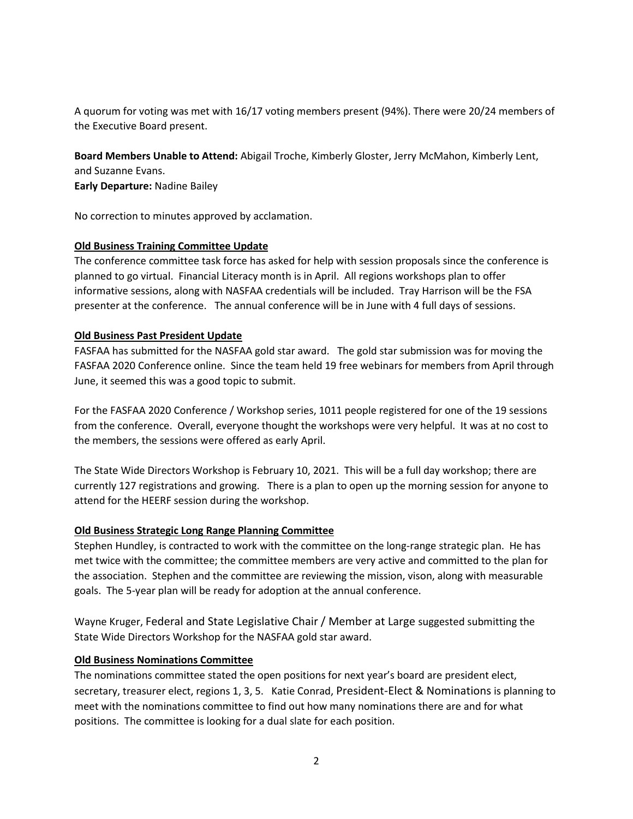A quorum for voting was met with 16/17 voting members present (94%). There were 20/24 members of the Executive Board present.

**Board Members Unable to Attend:** Abigail Troche, Kimberly Gloster, Jerry McMahon, Kimberly Lent, and Suzanne Evans. **Early Departure:** Nadine Bailey

No correction to minutes approved by acclamation.

### **Old Business Training Committee Update**

The conference committee task force has asked for help with session proposals since the conference is planned to go virtual. Financial Literacy month is in April. All regions workshops plan to offer informative sessions, along with NASFAA credentials will be included. Tray Harrison will be the FSA presenter at the conference. The annual conference will be in June with 4 full days of sessions.

### **Old Business Past President Update**

FASFAA has submitted for the NASFAA gold star award. The gold star submission was for moving the FASFAA 2020 Conference online. Since the team held 19 free webinars for members from April through June, it seemed this was a good topic to submit.

For the FASFAA 2020 Conference / Workshop series, 1011 people registered for one of the 19 sessions from the conference. Overall, everyone thought the workshops were very helpful. It was at no cost to the members, the sessions were offered as early April.

The State Wide Directors Workshop is February 10, 2021. This will be a full day workshop; there are currently 127 registrations and growing. There is a plan to open up the morning session for anyone to attend for the HEERF session during the workshop.

### **Old Business Strategic Long Range Planning Committee**

Stephen Hundley, is contracted to work with the committee on the long-range strategic plan. He has met twice with the committee; the committee members are very active and committed to the plan for the association. Stephen and the committee are reviewing the mission, vison, along with measurable goals. The 5-year plan will be ready for adoption at the annual conference.

Wayne Kruger, Federal and State Legislative Chair / Member at Large suggested submitting the State Wide Directors Workshop for the NASFAA gold star award.

### **Old Business Nominations Committee**

The nominations committee stated the open positions for next year's board are president elect, secretary, treasurer elect, regions 1, 3, 5. Katie Conrad, President-Elect & Nominations is planning to meet with the nominations committee to find out how many nominations there are and for what positions. The committee is looking for a dual slate for each position.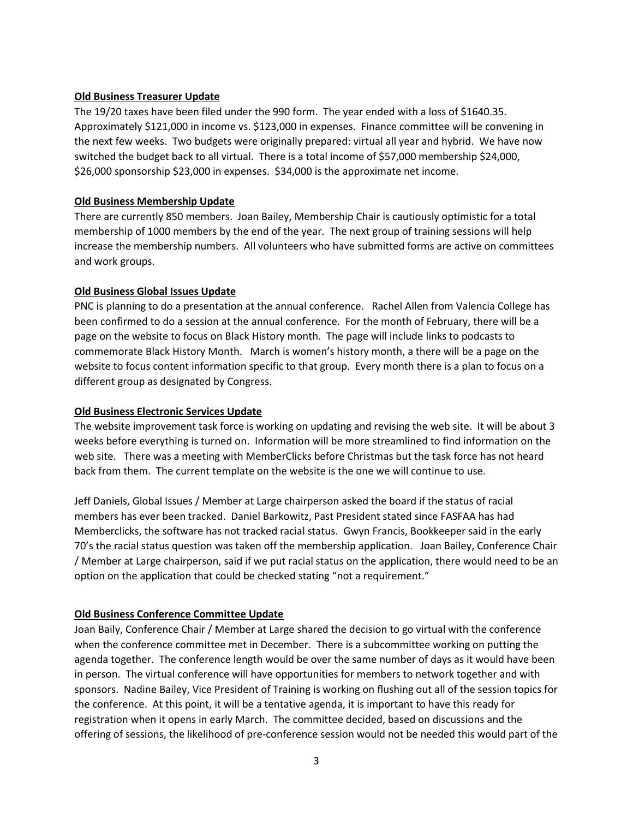### **Old Business Treasurer Update**

The 19/20 taxes have been filed under the 990 form. The year ended with a loss of \$1640.35. Approximately \$121,000 in income vs. \$123,000 in expenses. Finance committee will be convening in the next few weeks. Two budgets were originally prepared: virtual all year and hybrid. We have now switched the budget back to all virtual. There is a total income of \$57,000 membership \$24,000, \$26,000 sponsorship \$23,000 in expenses. \$34,000 is the approximate net income.

### **Old Business Membership Update**

There are currently 850 members. Joan Bailey, Membership Chair is cautiously optimistic for a total membership of 1000 members by the end of the year. The next group of training sessions will help increase the membership numbers. All volunteers who have submitted forms are active on committees and work groups.

### **Old Business Global Issues Update**

PNC is planning to do a presentation at the annual conference. Rachel Allen from Valencia College has been confirmed to do a session at the annual conference. For the month of February, there will be a page on the website to focus on Black History month. The page will include links to podcasts to commemorate Black History Month. March is women's history month, a there will be a page on the website to focus content information specific to that group. Every month there is a plan to focus on a different group as designated by Congress.

### **Old Business Electronic Services Update**

The website improvement task force is working on updating and revising the web site. It will be about 3 weeks before everything is turned on. Information will be more streamlined to find information on the web site. There was a meeting with MemberClicks before Christmas but the task force has not heard back from them. The current template on the website is the one we will continue to use.

Jeff Daniels, Global Issues / Member at Large chairperson asked the board if the status of racial members has ever been tracked. Daniel Barkowitz, Past President stated since FASFAA has had Memberclicks, the software has not tracked racial status. Gwyn Francis, Bookkeeper said in the early 70's the racial status question was taken off the membership application. Joan Bailey, Conference Chair / Member at Large chairperson, said if we put racial status on the application, there would need to be an option on the application that could be checked stating "not a requirement."

### **Old Business Conference Committee Update**

Joan Baily, Conference Chair / Member at Large shared the decision to go virtual with the conference when the conference committee met in December. There is a subcommittee working on putting the agenda together. The conference length would be over the same number of days as it would have been in person. The virtual conference will have opportunities for members to network together and with sponsors. Nadine Bailey, Vice President of Training is working on flushing out all of the session topics for the conference. At this point, it will be a tentative agenda, it is important to have this ready for registration when it opens in early March. The committee decided, based on discussions and the offering of sessions, the likelihood of pre-conference session would not be needed this would part of the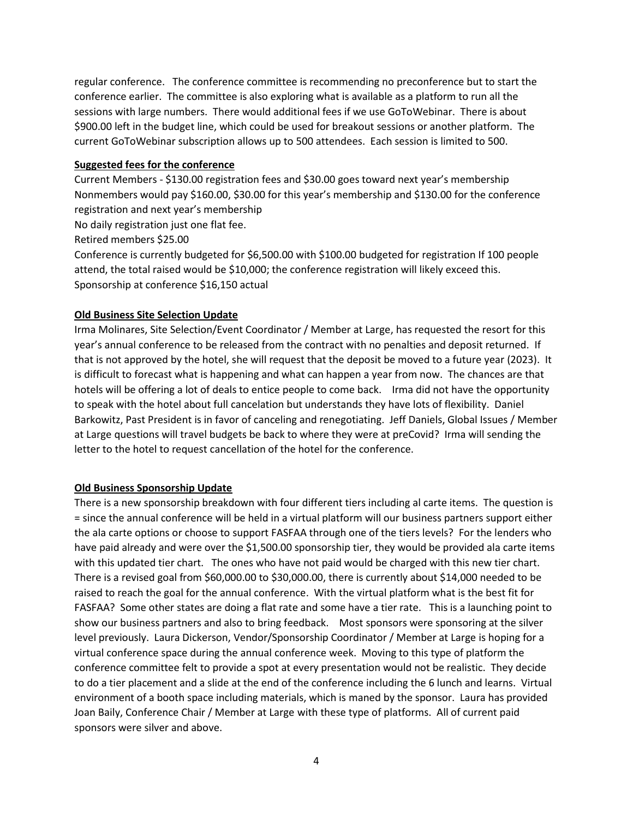regular conference. The conference committee is recommending no preconference but to start the conference earlier. The committee is also exploring what is available as a platform to run all the sessions with large numbers. There would additional fees if we use GoToWebinar. There is about \$900.00 left in the budget line, which could be used for breakout sessions or another platform. The current GoToWebinar subscription allows up to 500 attendees. Each session is limited to 500.

#### **Suggested fees for the conference**

Current Members - \$130.00 registration fees and \$30.00 goes toward next year's membership Nonmembers would pay \$160.00, \$30.00 for this year's membership and \$130.00 for the conference registration and next year's membership

No daily registration just one flat fee.

Retired members \$25.00

Conference is currently budgeted for \$6,500.00 with \$100.00 budgeted for registration If 100 people attend, the total raised would be \$10,000; the conference registration will likely exceed this. Sponsorship at conference \$16,150 actual

#### **Old Business Site Selection Update**

Irma Molinares, Site Selection/Event Coordinator / Member at Large, has requested the resort for this year's annual conference to be released from the contract with no penalties and deposit returned. If that is not approved by the hotel, she will request that the deposit be moved to a future year (2023). It is difficult to forecast what is happening and what can happen a year from now. The chances are that hotels will be offering a lot of deals to entice people to come back. Irma did not have the opportunity to speak with the hotel about full cancelation but understands they have lots of flexibility. Daniel Barkowitz, Past President is in favor of canceling and renegotiating. Jeff Daniels, Global Issues / Member at Large questions will travel budgets be back to where they were at preCovid? Irma will sending the letter to the hotel to request cancellation of the hotel for the conference.

#### **Old Business Sponsorship Update**

There is a new sponsorship breakdown with four different tiers including al carte items. The question is = since the annual conference will be held in a virtual platform will our business partners support either the ala carte options or choose to support FASFAA through one of the tiers levels? For the lenders who have paid already and were over the \$1,500.00 sponsorship tier, they would be provided ala carte items with this updated tier chart. The ones who have not paid would be charged with this new tier chart. There is a revised goal from \$60,000.00 to \$30,000.00, there is currently about \$14,000 needed to be raised to reach the goal for the annual conference. With the virtual platform what is the best fit for FASFAA? Some other states are doing a flat rate and some have a tier rate. This is a launching point to show our business partners and also to bring feedback. Most sponsors were sponsoring at the silver level previously. Laura Dickerson, Vendor/Sponsorship Coordinator / Member at Large is hoping for a virtual conference space during the annual conference week. Moving to this type of platform the conference committee felt to provide a spot at every presentation would not be realistic. They decide to do a tier placement and a slide at the end of the conference including the 6 lunch and learns. Virtual environment of a booth space including materials, which is maned by the sponsor. Laura has provided Joan Baily, Conference Chair / Member at Large with these type of platforms. All of current paid sponsors were silver and above.